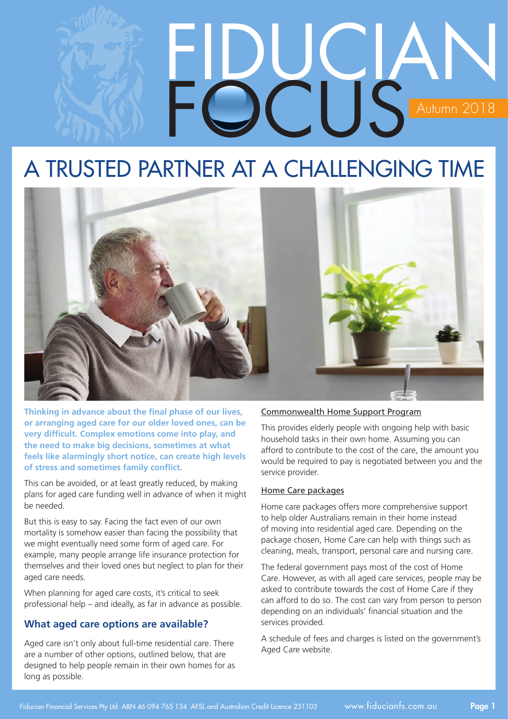# FIDUCIAN FOCUS Autumn 2018

# A TRUSTED PARTNER AT A CHALLENGING TIME



**Thinking in advance about the final phase of our lives, or arranging aged care for our older loved ones, can be very difficult. Complex emotions come into play, and the need to make big decisions, sometimes at what feels like alarmingly short notice, can create high levels of stress and sometimes family conflict.**

This can be avoided, or at least greatly reduced, by making plans for aged care funding well in advance of when it might be needed.

But this is easy to say. Facing the fact even of our own mortality is somehow easier than facing the possibility that we might eventually need some form of aged care. For example, many people arrange life insurance protection for themselves and their loved ones but neglect to plan for their aged care needs.

When planning for aged care costs, it's critical to seek professional help – and ideally, as far in advance as possible.

# **What aged care options are available?**

Aged care isn't only about full-time residential care. There are a number of other options, outlined below, that are designed to help people remain in their own homes for as long as possible.

#### Commonwealth Home Support Program

This provides elderly people with ongoing help with basic household tasks in their own home. Assuming you can afford to contribute to the cost of the care, the amount you would be required to pay is negotiated between you and the service provider.

#### Home Care packages

Home care packages offers more comprehensive support to help older Australians remain in their home instead of moving into residential aged care. Depending on the package chosen, Home Care can help with things such as cleaning, meals, transport, personal care and nursing care.

The federal government pays most of the cost of Home Care. However, as with all aged care services, people may be asked to contribute towards the cost of Home Care if they can afford to do so. The cost can vary from person to person depending on an individuals' financial situation and the services provided.

A schedule of fees and charges is listed on the government's Aged Care website.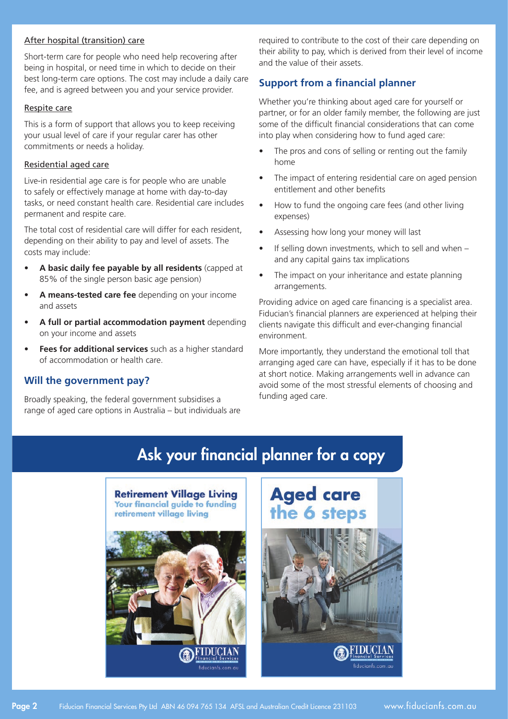#### After hospital (transition) care

Short-term care for people who need help recovering after being in hospital, or need time in which to decide on their best long-term care options. The cost may include a daily care fee, and is agreed between you and your service provider.

#### Respite care

This is a form of support that allows you to keep receiving your usual level of care if your regular carer has other commitments or needs a holiday.

#### Residential aged care

Live-in residential age care is for people who are unable to safely or effectively manage at home with day-to-day tasks, or need constant health care. Residential care includes permanent and respite care.

The total cost of residential care will differ for each resident, depending on their ability to pay and level of assets. The costs may include:

- **• A basic daily fee payable by all residents** (capped at 85% of the single person basic age pension)
- A means-tested care fee depending on your income and assets
- A full or partial accommodation payment depending on your income and assets
- Fees for additional services such as a higher standard of accommodation or health care.

### **Will the government pay?**

Broadly speaking, the federal government subsidises a range of aged care options in Australia – but individuals are required to contribute to the cost of their care depending on their ability to pay, which is derived from their level of income and the value of their assets.

## **Support from a financial planner**

Whether you're thinking about aged care for yourself or partner, or for an older family member, the following are just some of the difficult financial considerations that can come into play when considering how to fund aged care:

- The pros and cons of selling or renting out the family home
- The impact of entering residential care on aged pension entitlement and other benefits
- How to fund the ongoing care fees (and other living expenses)
- Assessing how long your money will last
- If selling down investments, which to sell and when  $$ and any capital gains tax implications
- The impact on your inheritance and estate planning arrangements.

Providing advice on aged care financing is a specialist area. Fiducian's financial planners are experienced at helping their clients navigate this difficult and ever-changing financial environment.

More importantly, they understand the emotional toll that arranging aged care can have, especially if it has to be done at short notice. Making arrangements well in advance can avoid some of the most stressful elements of choosing and funding aged care.

# Ask your financial planner for a copy



# **Aged care** the 6 steps

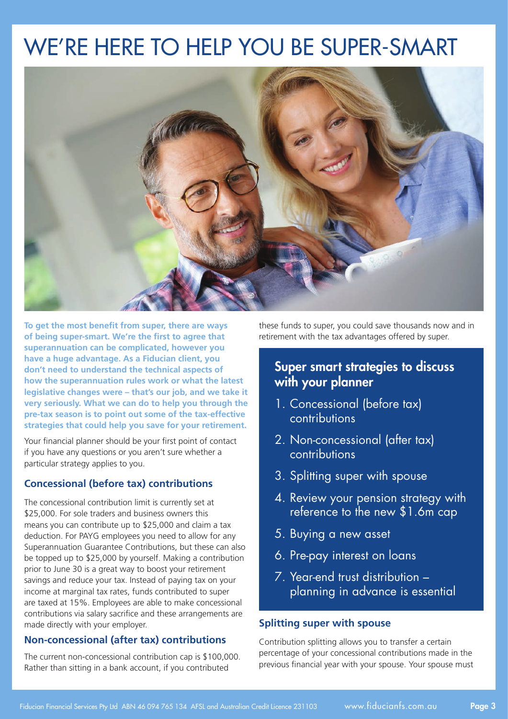# We're here to help you be Super-Smart



**To get the most benefit from super, there are ways of being super-smart. We're the first to agree that superannuation can be complicated, however you have a huge advantage. As a Fiducian client, you don't need to understand the technical aspects of how the superannuation rules work or what the latest legislative changes were – that's our job, and we take it very seriously. What we can do to help you through the pre-tax season is to point out some of the tax-effective strategies that could help you save for your retirement.**

Your financial planner should be your first point of contact if you have any questions or you aren't sure whether a particular strategy applies to you.

# **Concessional (before tax) contributions**

The concessional contribution limit is currently set at \$25,000. For sole traders and business owners this means you can contribute up to \$25,000 and claim a tax deduction. For PAYG employees you need to allow for any Superannuation Guarantee Contributions, but these can also be topped up to \$25,000 by yourself. Making a contribution prior to June 30 is a great way to boost your retirement savings and reduce your tax. Instead of paying tax on your income at marginal tax rates, funds contributed to super are taxed at 15%. Employees are able to make concessional contributions via salary sacrifice and these arrangements are made directly with your employer.

# **Non-concessional (after tax) contributions**

The current non-concessional contribution cap is \$100,000. Rather than sitting in a bank account, if you contributed

these funds to super, you could save thousands now and in retirement with the tax advantages offered by super.

# Super smart strategies to discuss with your planner

- 1. Concessional (before tax) contributions
- 2. Non-concessional (after tax) contributions
- 3. Splitting super with spouse
- 4. Review your pension strategy with reference to the new \$1.6m cap
- 5. Buying a new asset
- 6. Pre-pay interest on loans
- 7. Year-end trust distribution planning in advance is essential

# **Splitting super with spouse**

Contribution splitting allows you to transfer a certain percentage of your concessional contributions made in the previous financial year with your spouse. Your spouse must